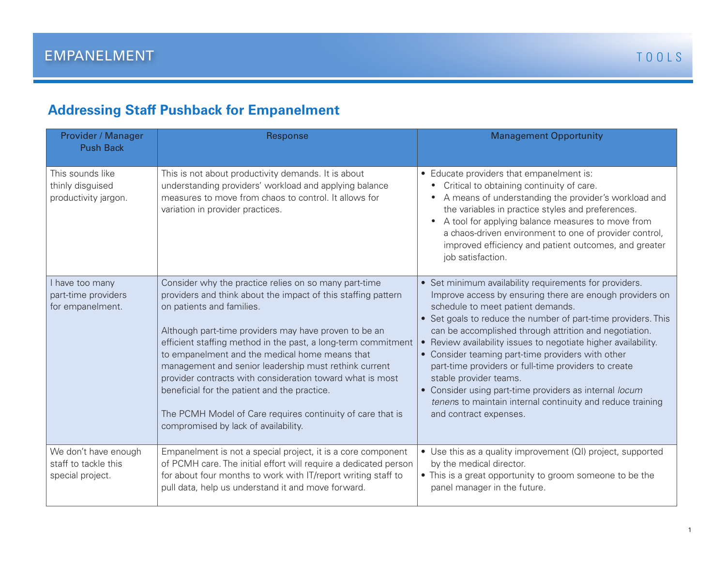## **Addressing Staff Pushback for Empanelment**

| Provider / Manager<br><b>Push Back</b>                           | Response                                                                                                                                                                                                                                                                                                                                                                                                                                                                                                                                                                                                    | <b>Management Opportunity</b>                                                                                                                                                                                                                                                                                                                                                                                                                                                                                                                                                                                                                 |
|------------------------------------------------------------------|-------------------------------------------------------------------------------------------------------------------------------------------------------------------------------------------------------------------------------------------------------------------------------------------------------------------------------------------------------------------------------------------------------------------------------------------------------------------------------------------------------------------------------------------------------------------------------------------------------------|-----------------------------------------------------------------------------------------------------------------------------------------------------------------------------------------------------------------------------------------------------------------------------------------------------------------------------------------------------------------------------------------------------------------------------------------------------------------------------------------------------------------------------------------------------------------------------------------------------------------------------------------------|
| This sounds like<br>thinly disguised<br>productivity jargon.     | This is not about productivity demands. It is about<br>understanding providers' workload and applying balance<br>measures to move from chaos to control. It allows for<br>variation in provider practices.                                                                                                                                                                                                                                                                                                                                                                                                  | • Educate providers that empanelment is:<br>Critical to obtaining continuity of care.<br>A means of understanding the provider's workload and<br>the variables in practice styles and preferences.<br>A tool for applying balance measures to move from<br>a chaos-driven environment to one of provider control,<br>improved efficiency and patient outcomes, and greater<br>job satisfaction.                                                                                                                                                                                                                                               |
| I have too many<br>part-time providers<br>for empanelment.       | Consider why the practice relies on so many part-time<br>providers and think about the impact of this staffing pattern<br>on patients and families.<br>Although part-time providers may have proven to be an<br>efficient staffing method in the past, a long-term commitment<br>to empanelment and the medical home means that<br>management and senior leadership must rethink current<br>provider contracts with consideration toward what is most<br>beneficial for the patient and the practice.<br>The PCMH Model of Care requires continuity of care that is<br>compromised by lack of availability. | • Set minimum availability requirements for providers.<br>Improve access by ensuring there are enough providers on<br>schedule to meet patient demands.<br>• Set goals to reduce the number of part-time providers. This<br>can be accomplished through attrition and negotiation.<br>• Review availability issues to negotiate higher availability.<br>• Consider teaming part-time providers with other<br>part-time providers or full-time providers to create<br>stable provider teams.<br>• Consider using part-time providers as internal locum<br>tenens to maintain internal continuity and reduce training<br>and contract expenses. |
| We don't have enough<br>staff to tackle this<br>special project. | Empanelment is not a special project, it is a core component<br>of PCMH care. The initial effort will require a dedicated person<br>for about four months to work with IT/report writing staff to<br>pull data, help us understand it and move forward.                                                                                                                                                                                                                                                                                                                                                     | • Use this as a quality improvement (QI) project, supported<br>by the medical director.<br>• This is a great opportunity to groom someone to be the<br>panel manager in the future.                                                                                                                                                                                                                                                                                                                                                                                                                                                           |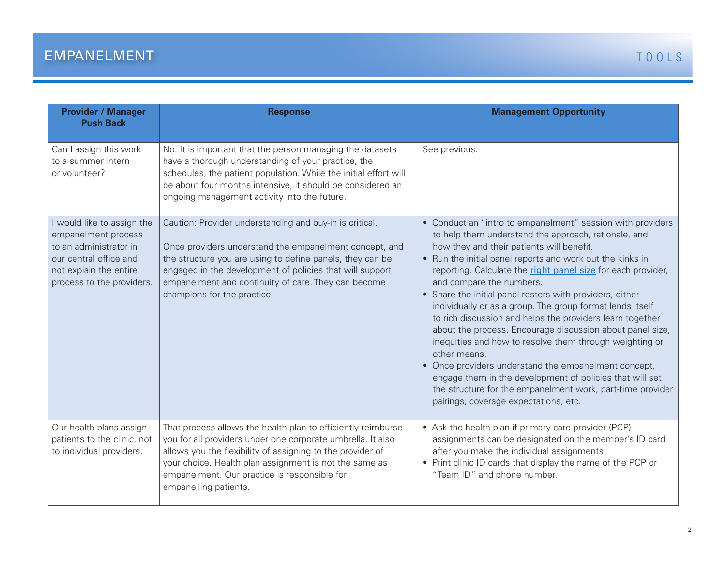| <b>Provider / Manager</b><br><b>Push Back</b>                                                                                                                | <b>Response</b>                                                                                                                                                                                                                                                                                                                  | <b>Management Opportunity</b>                                                                                                                                                                                                                                                                                                                                                                                                                                                                                                                                                                                                                                                                                                                                                                                                                                                     |
|--------------------------------------------------------------------------------------------------------------------------------------------------------------|----------------------------------------------------------------------------------------------------------------------------------------------------------------------------------------------------------------------------------------------------------------------------------------------------------------------------------|-----------------------------------------------------------------------------------------------------------------------------------------------------------------------------------------------------------------------------------------------------------------------------------------------------------------------------------------------------------------------------------------------------------------------------------------------------------------------------------------------------------------------------------------------------------------------------------------------------------------------------------------------------------------------------------------------------------------------------------------------------------------------------------------------------------------------------------------------------------------------------------|
| Can I assign this work<br>to a summer intern<br>or volunteer?                                                                                                | No. It is important that the person managing the datasets<br>have a thorough understanding of your practice, the<br>schedules, the patient population. While the initial effort will<br>be about four months intensive, it should be considered an<br>ongoing management activity into the future.                               | See previous.                                                                                                                                                                                                                                                                                                                                                                                                                                                                                                                                                                                                                                                                                                                                                                                                                                                                     |
| I would like to assign the<br>empanelment process<br>to an administrator in<br>our central office and<br>not explain the entire<br>process to the providers. | Caution: Provider understanding and buy-in is critical.<br>Once providers understand the empanelment concept, and<br>the structure you are using to define panels, they can be<br>engaged in the development of policies that will support<br>empanelment and continuity of care. They can become<br>champions for the practice. | • Conduct an "intro to empanelment" session with providers<br>to help them understand the approach, rationale, and<br>how they and their patients will benefit.<br>• Run the initial panel reports and work out the kinks in<br>reporting. Calculate the right panel size for each provider,<br>and compare the numbers.<br>• Share the initial panel rosters with providers, either<br>individually or as a group. The group format lends itself<br>to rich discussion and helps the providers learn together<br>about the process. Encourage discussion about panel size,<br>inequities and how to resolve them through weighting or<br>other means.<br>• Once providers understand the empanelment concept,<br>engage them in the development of policies that will set<br>the structure for the empanelment work, part-time provider<br>pairings, coverage expectations, etc. |
| Our health plans assign<br>patients to the clinic, not<br>to individual providers.                                                                           | That process allows the health plan to efficiently reimburse<br>you for all providers under one corporate umbrella. It also<br>allows you the flexibility of assigning to the provider of<br>your choice. Health plan assignment is not the same as<br>empanelment. Our practice is responsible for<br>empanelling patients.     | • Ask the health plan if primary care provider (PCP)<br>assignments can be designated on the member's ID card<br>after you make the individual assignments.<br>• Print clinic ID cards that display the name of the PCP or<br>"Team ID" and phone number.                                                                                                                                                                                                                                                                                                                                                                                                                                                                                                                                                                                                                         |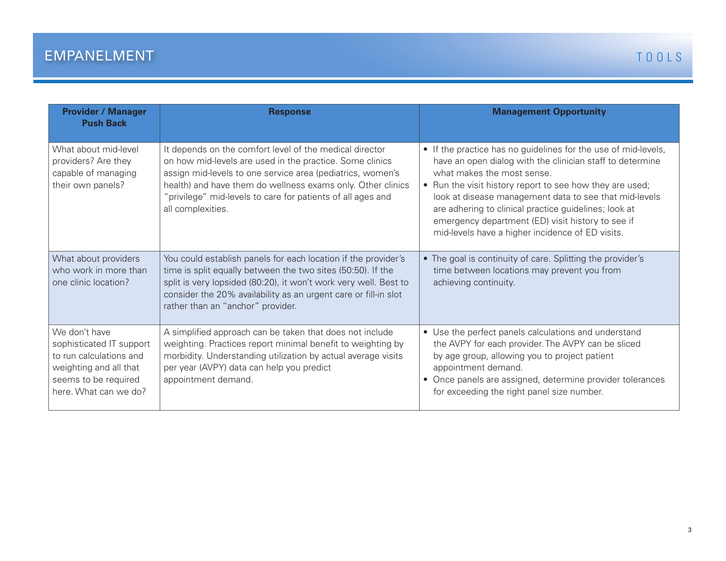| <b>Provider / Manager</b><br><b>Push Back</b>                                                                                                   | <b>Response</b>                                                                                                                                                                                                                                                                                                                      | <b>Management Opportunity</b>                                                                                                                                                                                                                                                                                                                                                                                                                     |
|-------------------------------------------------------------------------------------------------------------------------------------------------|--------------------------------------------------------------------------------------------------------------------------------------------------------------------------------------------------------------------------------------------------------------------------------------------------------------------------------------|---------------------------------------------------------------------------------------------------------------------------------------------------------------------------------------------------------------------------------------------------------------------------------------------------------------------------------------------------------------------------------------------------------------------------------------------------|
| What about mid-level<br>providers? Are they<br>capable of managing<br>their own panels?                                                         | It depends on the comfort level of the medical director<br>on how mid-levels are used in the practice. Some clinics<br>assign mid-levels to one service area (pediatrics, women's<br>health) and have them do wellness exams only. Other clinics<br>"privilege" mid-levels to care for patients of all ages and<br>all complexities. | • If the practice has no guidelines for the use of mid-levels,<br>have an open dialog with the clinician staff to determine<br>what makes the most sense.<br>• Run the visit history report to see how they are used;<br>look at disease management data to see that mid-levels<br>are adhering to clinical practice guidelines; look at<br>emergency department (ED) visit history to see if<br>mid-levels have a higher incidence of ED visits. |
| What about providers<br>who work in more than<br>one clinic location?                                                                           | You could establish panels for each location if the provider's<br>time is split equally between the two sites (50:50). If the<br>split is very lopsided (80:20), it won't work very well. Best to<br>consider the 20% availability as an urgent care or fill-in slot<br>rather than an "anchor" provider.                            | • The goal is continuity of care. Splitting the provider's<br>time between locations may prevent you from<br>achieving continuity.                                                                                                                                                                                                                                                                                                                |
| We don't have<br>sophisticated IT support<br>to run calculations and<br>weighting and all that<br>seems to be required<br>here. What can we do? | A simplified approach can be taken that does not include<br>weighting. Practices report minimal benefit to weighting by<br>morbidity. Understanding utilization by actual average visits<br>per year (AVPY) data can help you predict<br>appointment demand.                                                                         | • Use the perfect panels calculations and understand<br>the AVPY for each provider. The AVPY can be sliced<br>by age group, allowing you to project patient<br>appointment demand.<br>• Once panels are assigned, determine provider tolerances<br>for exceeding the right panel size number.                                                                                                                                                     |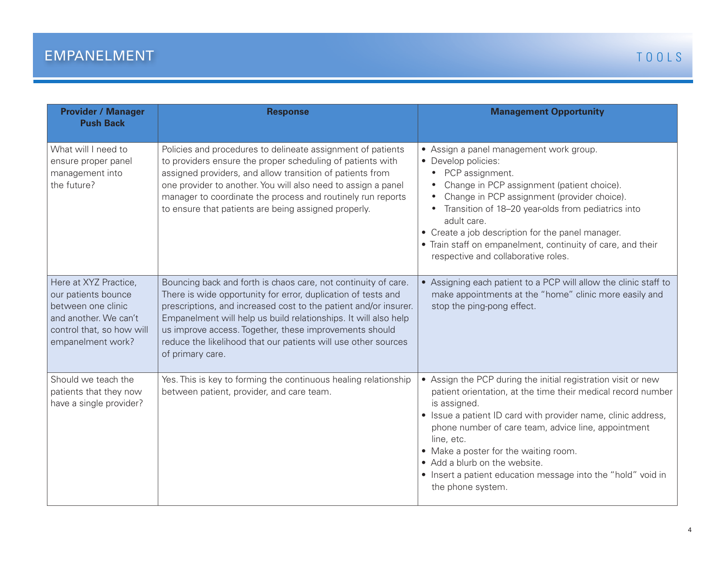| <b>Provider / Manager</b><br><b>Push Back</b>                                                                                                 | <b>Response</b>                                                                                                                                                                                                                                                                                                                                                                                                        | <b>Management Opportunity</b>                                                                                                                                                                                                                                                                                                                                                                                                                      |
|-----------------------------------------------------------------------------------------------------------------------------------------------|------------------------------------------------------------------------------------------------------------------------------------------------------------------------------------------------------------------------------------------------------------------------------------------------------------------------------------------------------------------------------------------------------------------------|----------------------------------------------------------------------------------------------------------------------------------------------------------------------------------------------------------------------------------------------------------------------------------------------------------------------------------------------------------------------------------------------------------------------------------------------------|
| What will I need to<br>ensure proper panel<br>management into<br>the future?                                                                  | Policies and procedures to delineate assignment of patients<br>to providers ensure the proper scheduling of patients with<br>assigned providers, and allow transition of patients from<br>one provider to another. You will also need to assign a panel<br>manager to coordinate the process and routinely run reports<br>to ensure that patients are being assigned properly.                                         | • Assign a panel management work group.<br>• Develop policies:<br>PCP assignment.<br>Change in PCP assignment (patient choice).<br>Change in PCP assignment (provider choice).<br>Transition of 18-20 year-olds from pediatrics into<br>adult care.<br>• Create a job description for the panel manager.<br>• Train staff on empanelment, continuity of care, and their<br>respective and collaborative roles.                                     |
| Here at XYZ Practice,<br>our patients bounce<br>between one clinic<br>and another. We can't<br>control that, so how will<br>empanelment work? | Bouncing back and forth is chaos care, not continuity of care.<br>There is wide opportunity for error, duplication of tests and<br>prescriptions, and increased cost to the patient and/or insurer.<br>Empanelment will help us build relationships. It will also help<br>us improve access. Together, these improvements should<br>reduce the likelihood that our patients will use other sources<br>of primary care. | • Assigning each patient to a PCP will allow the clinic staff to<br>make appointments at the "home" clinic more easily and<br>stop the ping-pong effect.                                                                                                                                                                                                                                                                                           |
| Should we teach the<br>patients that they now<br>have a single provider?                                                                      | Yes. This is key to forming the continuous healing relationship<br>between patient, provider, and care team.                                                                                                                                                                                                                                                                                                           | • Assign the PCP during the initial registration visit or new<br>patient orientation, at the time their medical record number<br>is assigned.<br>• Issue a patient ID card with provider name, clinic address,<br>phone number of care team, advice line, appointment<br>line, etc.<br>• Make a poster for the waiting room.<br>• Add a blurb on the website.<br>• Insert a patient education message into the "hold" void in<br>the phone system. |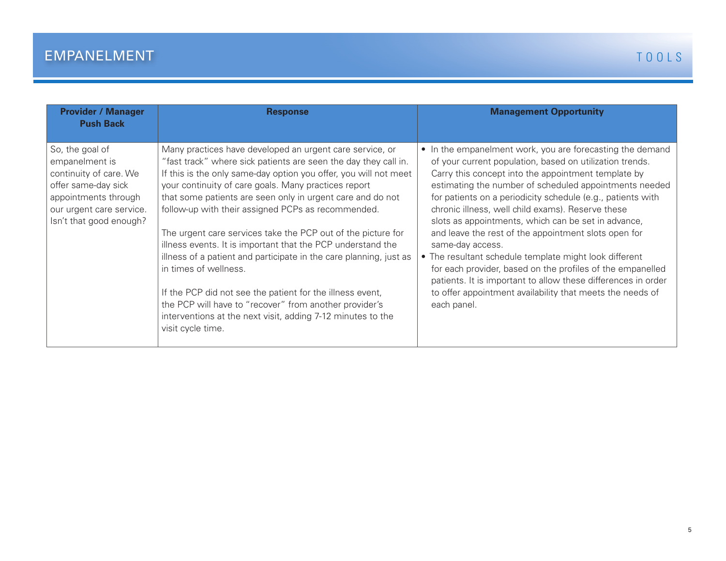| <b>Provider / Manager</b><br><b>Push Back</b>                                                                                                                     | <b>Response</b>                                                                                                                                                                                                                                                                                                                                                                                                                                                                                                                                                                                                                                                                                                                                                                                                      | <b>Management Opportunity</b>                                                                                                                                                                                                                                                                                                                                                                                                                                                                                                                                                                                                                                                                                                                                      |
|-------------------------------------------------------------------------------------------------------------------------------------------------------------------|----------------------------------------------------------------------------------------------------------------------------------------------------------------------------------------------------------------------------------------------------------------------------------------------------------------------------------------------------------------------------------------------------------------------------------------------------------------------------------------------------------------------------------------------------------------------------------------------------------------------------------------------------------------------------------------------------------------------------------------------------------------------------------------------------------------------|--------------------------------------------------------------------------------------------------------------------------------------------------------------------------------------------------------------------------------------------------------------------------------------------------------------------------------------------------------------------------------------------------------------------------------------------------------------------------------------------------------------------------------------------------------------------------------------------------------------------------------------------------------------------------------------------------------------------------------------------------------------------|
| So, the goal of<br>empanelment is<br>continuity of care. We<br>offer same-day sick<br>appointments through<br>our urgent care service.<br>Isn't that good enough? | Many practices have developed an urgent care service, or<br>"fast track" where sick patients are seen the day they call in.<br>If this is the only same-day option you offer, you will not meet<br>your continuity of care goals. Many practices report<br>that some patients are seen only in urgent care and do not<br>follow-up with their assigned PCPs as recommended.<br>The urgent care services take the PCP out of the picture for<br>illness events. It is important that the PCP understand the<br>illness of a patient and participate in the care planning, just as<br>in times of wellness.<br>If the PCP did not see the patient for the illness event,<br>the PCP will have to "recover" from another provider's<br>interventions at the next visit, adding 7-12 minutes to the<br>visit cycle time. | • In the empanelment work, you are forecasting the demand<br>of your current population, based on utilization trends.<br>Carry this concept into the appointment template by<br>estimating the number of scheduled appointments needed<br>for patients on a periodicity schedule (e.g., patients with<br>chronic illness, well child exams). Reserve these<br>slots as appointments, which can be set in advance,<br>and leave the rest of the appointment slots open for<br>same-day access.<br>• The resultant schedule template might look different<br>for each provider, based on the profiles of the empanelled<br>patients. It is important to allow these differences in order<br>to offer appointment availability that meets the needs of<br>each panel. |